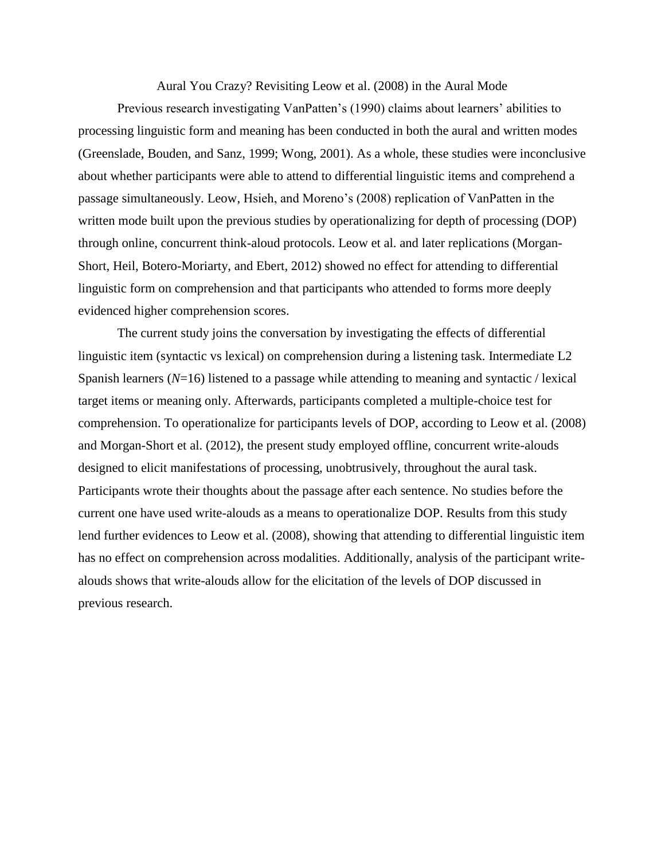Aural You Crazy? Revisiting Leow et al. (2008) in the Aural Mode

Previous research investigating VanPatten's (1990) claims about learners' abilities to processing linguistic form and meaning has been conducted in both the aural and written modes (Greenslade, Bouden, and Sanz, 1999; Wong, 2001). As a whole, these studies were inconclusive about whether participants were able to attend to differential linguistic items and comprehend a passage simultaneously. Leow, Hsieh, and Moreno's (2008) replication of VanPatten in the written mode built upon the previous studies by operationalizing for depth of processing (DOP) through online, concurrent think-aloud protocols. Leow et al. and later replications (Morgan-Short, Heil, Botero-Moriarty, and Ebert, 2012) showed no effect for attending to differential linguistic form on comprehension and that participants who attended to forms more deeply evidenced higher comprehension scores.

The current study joins the conversation by investigating the effects of differential linguistic item (syntactic vs lexical) on comprehension during a listening task. Intermediate L2 Spanish learners (*N*=16) listened to a passage while attending to meaning and syntactic / lexical target items or meaning only. Afterwards, participants completed a multiple-choice test for comprehension. To operationalize for participants levels of DOP, according to Leow et al. (2008) and Morgan-Short et al. (2012), the present study employed offline, concurrent write-alouds designed to elicit manifestations of processing, unobtrusively, throughout the aural task. Participants wrote their thoughts about the passage after each sentence. No studies before the current one have used write-alouds as a means to operationalize DOP. Results from this study lend further evidences to Leow et al. (2008), showing that attending to differential linguistic item has no effect on comprehension across modalities. Additionally, analysis of the participant writealouds shows that write-alouds allow for the elicitation of the levels of DOP discussed in previous research.